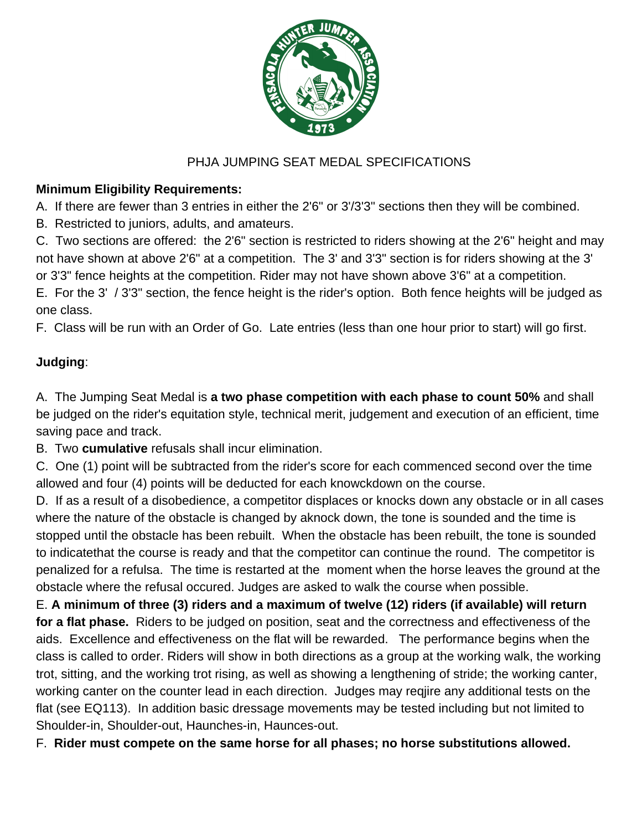

### PHJA JUMPING SEAT MEDAL SPECIFICATIONS

### **Minimum Eligibility Requirements:**

A. If there are fewer than 3 entries in either the 2'6" or 3'/3'3" sections then they will be combined.

B. Restricted to juniors, adults, and amateurs.

C. Two sections are offered: the 2'6" section is restricted to riders showing at the 2'6" height and may not have shown at above 2'6" at a competition. The 3' and 3'3" section is for riders showing at the 3' or 3'3" fence heights at the competition. Rider may not have shown above 3'6" at a competition. E. For the 3' / 3'3" section, the fence height is the rider's option. Both fence heights will be judged as one class.

F. Class will be run with an Order of Go. Late entries (less than one hour prior to start) will go first.

# **Judging**:

A. The Jumping Seat Medal is **a two phase competition with each phase to count 50%** and shall be judged on the rider's equitation style, technical merit, judgement and execution of an efficient, time saving pace and track.

B. Two **cumulative** refusals shall incur elimination.

C. One (1) point will be subtracted from the rider's score for each commenced second over the time allowed and four (4) points will be deducted for each knowckdown on the course.

D. If as a result of a disobedience, a competitor displaces or knocks down any obstacle or in all cases where the nature of the obstacle is changed by aknock down, the tone is sounded and the time is stopped until the obstacle has been rebuilt. When the obstacle has been rebuilt, the tone is sounded to indicatethat the course is ready and that the competitor can continue the round. The competitor is penalized for a refulsa. The time is restarted at the moment when the horse leaves the ground at the obstacle where the refusal occured. Judges are asked to walk the course when possible.

E. **A minimum of three (3) riders and a maximum of twelve (12) riders (if available) will return for a flat phase.** Riders to be judged on position, seat and the correctness and effectiveness of the aids. Excellence and effectiveness on the flat will be rewarded. The performance begins when the class is called to order. Riders will show in both directions as a group at the working walk, the working trot, sitting, and the working trot rising, as well as showing a lengthening of stride; the working canter, working canter on the counter lead in each direction. Judges may reqjire any additional tests on the flat (see EQ113). In addition basic dressage movements may be tested including but not limited to Shoulder-in, Shoulder-out, Haunches-in, Haunces-out.

F. **Rider must compete on the same horse for all phases; no horse substitutions allowed.**